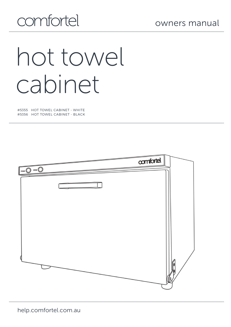# comfortel

# hot towel cabinet

#5355 HOT TOWEL CABINET - WHITE #5356 HOT TOWEL CABINET - BLACK

|                  | confortel |  |
|------------------|-----------|--|
| ozone (<br>POWER |           |  |
|                  |           |  |
|                  |           |  |
|                  |           |  |
|                  |           |  |
|                  |           |  |

help.comfortel.com.au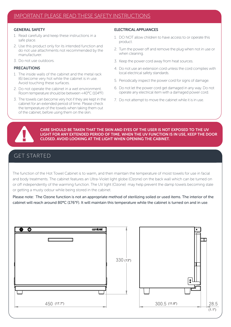#### GENERAL SAFETY

- 1. Read carefully and keep these instructions in a safe place.
- 2. Use this product only for its intended function and do not use attachments not recommended by the manufacturer.
- 3. Do not use outdoors.

#### PRECAUTIONS

- 1. The inside walls of the cabinet and the metal rack (6) become very hot while the cabinet is in use. Avoid touching these surfaces.
- 2. Do not operate the cabinet in a wet environment. Room temperature should be between <40°C (104°F)
- 3. The towels can become very hot if they are kept in the cabinet for an extended period of time. Please check the temperature of the towels when taking them out of the cabinet, before using them on the skin.

#### ELECTRICAL APPLIANCES

- 1. DO NOT allow children to have access to or operate this product.
- 2. Turn the power off and remove the plug when not in use or when cleaning.
- 3. Keep the power cord away from heat sources.
- 4. Do not use an extension cord unless the cord complies with local electrical safety standards.
- 5. Periodically inspect the power cord for signs of damage.
- 6. Do not let the power cord get damaged in any way. Do not operate any electrical item with a damaged power cord.
- 7. Do not attempt to move the cabinet while it is in use.



CARE SHOULD BE TAKEN THAT THE SKIN AND EYES OF THE USER IS NOT EXPOSED TO THE UV LIGHT FOR ANY EXTENDED PERIOD OF TIME. WHEN THE UV FUNCTION IS IN USE, KEEP THE DOOR CLOSED. AVOID LOOKING AT THE LIGHT WHEN OPENING THE CABINET.

### GET STARTED

The function of the Hot Towel Cabinet is to warm, and then maintain the temperature of moist towels for use in facial and body treatments. The cabinet features an Ultra-Violet light globe (Ozone) on the back wall which can be turned on or off independently of the warming function. The UV light (Ozone) may help prevent the damp towels becoming stale or getting a musty odour while being stored in the cabinet.

Please note: The Ozone function is not an appropriate method of sterilizing soiled or used items. The interior of the cabinet will reach around 80**°**C (176°F). It will maintain this temperature while the cabinet is turned on and in use.

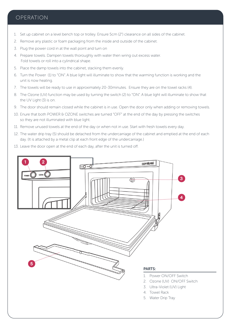#### OPERATION

- 1. Set up cabinet on a level bench top or trolley. Ensure 5cm (2") clearance on all sides of the cabinet.
- 2. Remove any plastic or foam packaging from the inside and outside of the cabinet.
- 3. Plug the power cord in at the wall point and turn on
- 4. Prepare towels. Dampen towels thoroughly with water then wring out excess water. Fold towels or roll into a cylindrical shape.
- 5. Place the damp towels into the cabinet, stacking them evenly.
- 6. Turn the Power (1) to "ON". A blue light will illuminate to show that the warming function is working and the unit is now heating.
- 7. The towels will be ready to use in approximately 20-30minutes. Ensure they are on the towel racks (4).
- 8. The Ozone (UV) function may be used by turning the switch (2) to "ON". A blue light will illuminate to show that the UV Light (3) is on.
- 9. The door should remain closed while the cabinet is in use. Open the door only when adding or removing towels.
- 10. Enure that both POWER & OZONE switches are turned "OFF" at the end of the day by pressing the switches so they are not illuminated with blue light.
- 11. Remove unused towels at the end of the day or when not in use. Start with fresh towels every day.
- 12. The water drip tray (5) should be detached from the undercarriage of the cabinet and emptied at the end of each day. (It is attached by a metal clip at each front edge of the undercarriage.)
- 13. Leave the door open at the end of each day, after the unit is turned off.